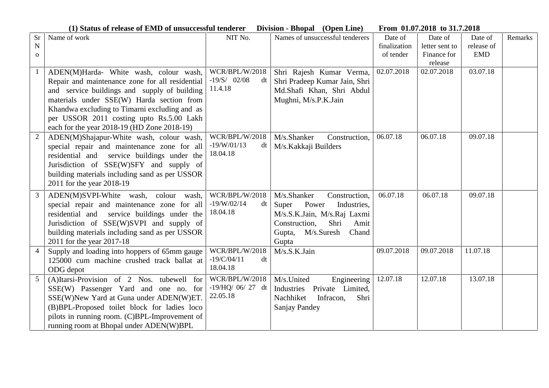**(1) Status of release of EMD of unsuccessful tenderer Division - Bhopal (Open Line) From 01.07.2018 to 31.7.2018**

| Sr                | Name of work                                                                                                                                                                                                                                                                                                                       | NIT No.                                           | Names of unsuccessful tenderers                                                                                                                                      | Date of                   | Date of                       | Date of                  | Remarks |
|-------------------|------------------------------------------------------------------------------------------------------------------------------------------------------------------------------------------------------------------------------------------------------------------------------------------------------------------------------------|---------------------------------------------------|----------------------------------------------------------------------------------------------------------------------------------------------------------------------|---------------------------|-------------------------------|--------------------------|---------|
| N<br>$\mathbf{O}$ |                                                                                                                                                                                                                                                                                                                                    |                                                   |                                                                                                                                                                      | finalization<br>of tender | letter sent to<br>Finance for | release of<br><b>EMD</b> |         |
|                   |                                                                                                                                                                                                                                                                                                                                    |                                                   |                                                                                                                                                                      |                           | release                       |                          |         |
| -1                | ADEN(M)Harda- White wash, colour wash,<br>Repair and maintenance zone for all residential<br>and service buildings and supply of building<br>materials under SSE(W) Harda section from<br>Khandwa excluding to Timarni excluding and as<br>per USSOR 2011 costing upto Rs.5.00 Lakh<br>each for the year 2018-19 (HD Zone 2018-19) | WCR/BPL/W/2018<br>$-19/S/$ 02/08<br>dt<br>11.4.18 | Shri Rajesh Kumar Verma,<br>Shri Pradeep Kumar Jain, Shri<br>Md.Shafi Khan, Shri Abdul<br>Mughni, M/s.P.K.Jain                                                       | 02.07.2018                | 02.07.2018                    | 03.07.18                 |         |
| $\overline{2}$    | ADEN(M)Shajapur-White wash, colour wash,<br>special repair and maintenance zone for all<br>residential and service buildings under the<br>Jurisdiction of SSE(W)SFY and supply of<br>building materials including sand as per USSOR<br>2011 for the year 2018-19                                                                   | WCR/BPL/W/2018<br>$-19/W/01/13$<br>dt<br>18.04.18 | M/s.Shanker<br>Construction,<br>M/s.Kakkaji Builders                                                                                                                 | 06.07.18                  | 06.07.18                      | 09.07.18                 |         |
| 3                 | ADEN(M)SVPI-White wash, colour wash,<br>special repair and maintenance zone for all<br>residential and service buildings under the<br>Jurisdiction of SSE(W)SVPI and supply of<br>building materials including sand as per USSOR<br>2011 for the year 2017-18                                                                      | WCR/BPL/W/2018<br>$-19/W/02/14$<br>dt<br>18.04.18 | M/s.Shanker<br>Construction,<br>Super<br>Power<br>Industries,<br>M/s.S.K.Jain, M/s.Raj Laxmi<br>Shri<br>Construction,<br>Amit<br>Gupta, M/s.Suresh<br>Chand<br>Gupta | 06.07.18                  | 06.07.18                      | 09.07.18                 |         |
| $\overline{4}$    | Supply and loading into hoppers of 65mm gauge<br>125000 cum machine crushed track ballat at<br>ODG depot                                                                                                                                                                                                                           | WCR/BPL/W/2018<br>$-19/C/04/11$<br>dt<br>18.04.18 | M/s.S.K.Jain                                                                                                                                                         | 09.07.2018                | 09.07.2018                    | 11.07.18                 |         |
| 5                 | (A)Itarsi-Provision of 2 Nos. tubewell for<br>SSE(W) Passenger Yard and one no. for<br>SSE(W)New Yard at Guna under ADEN(W)ET.<br>(B)BPL-Proposed toilet block for ladies loco<br>pilots in running room. (C)BPL-Improvement of<br>running room at Bhopal under ADEN(W)BPL                                                         | WCR/BPL/W/2018<br>$-19/HQ/06/27$ dt<br>22.05.18   | M/s.United<br>Engineering<br>Private Limited,<br>Industries<br>Nachhiket<br>Infracon,<br>Shri<br>Sanjay Pandey                                                       | 12.07.18                  | 12.07.18                      | 13.07.18                 |         |